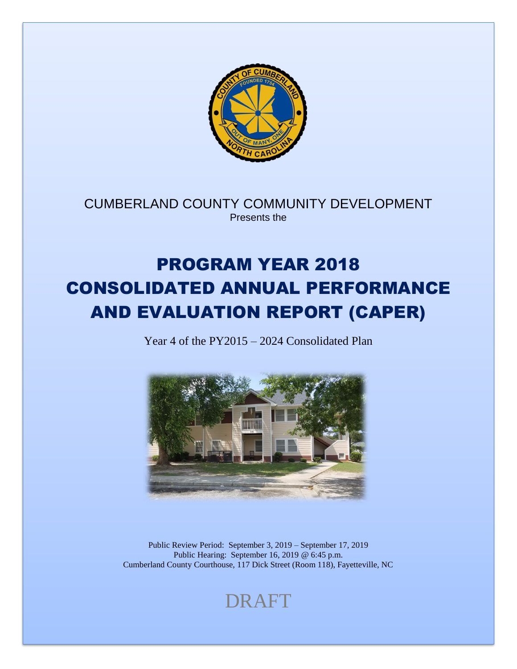

CUMBERLAND COUNTY COMMUNITY DEVELOPMENT Presents the

# PROGRAM YEAR 2018 CONSOLIDATED ANNUAL PERFORMANCE AND EVALUATION REPORT (CAPER)

Year 4 of the PY2015 – 2024 Consolidated Plan



Public Review Period: September 3, 2019 – September 17, 2019 Public Hearing: September 16, 2019 @ 6:45 p.m. Cumberland County Courthouse, 117 Dick Street (Room 118), Fayetteville, NC

## DRAFT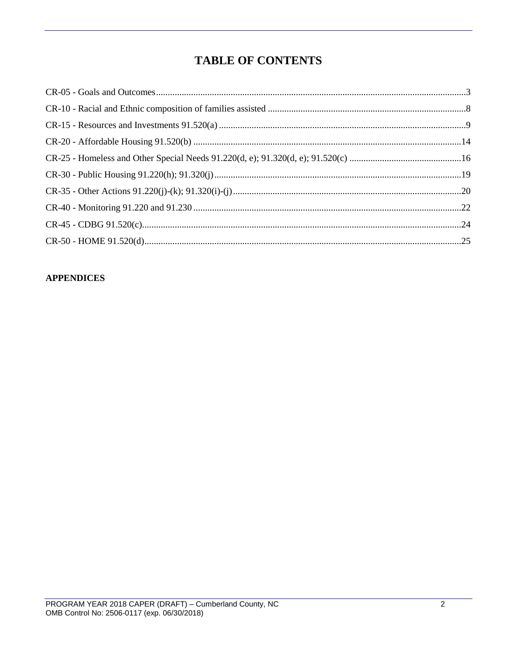## **TABLE OF CONTENTS**

#### **APPENDICES**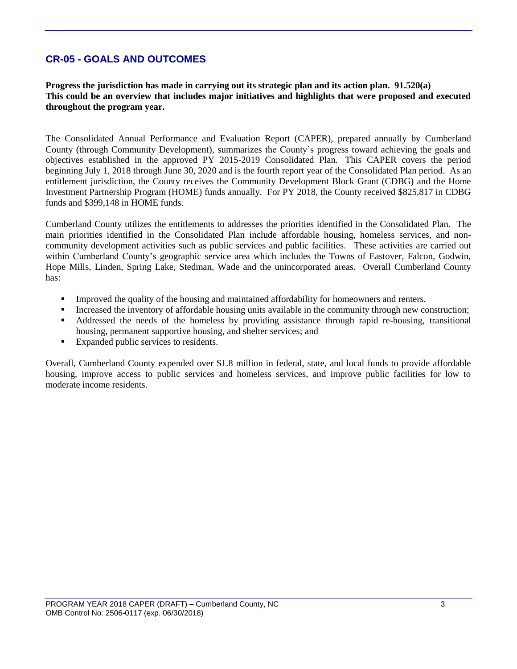## **CR-05 - GOALS AND OUTCOMES**

**Progress the jurisdiction has made in carrying out its strategic plan and its action plan. 91.520(a) This could be an overview that includes major initiatives and highlights that were proposed and executed throughout the program year.**

The Consolidated Annual Performance and Evaluation Report (CAPER), prepared annually by Cumberland County (through Community Development), summarizes the County's progress toward achieving the goals and objectives established in the approved PY 2015-2019 Consolidated Plan. This CAPER covers the period beginning July 1, 2018 through June 30, 2020 and is the fourth report year of the Consolidated Plan period. As an entitlement jurisdiction, the County receives the Community Development Block Grant (CDBG) and the Home Investment Partnership Program (HOME) funds annually. For PY 2018, the County received \$825,817 in CDBG funds and \$399,148 in HOME funds.

Cumberland County utilizes the entitlements to addresses the priorities identified in the Consolidated Plan. The main priorities identified in the Consolidated Plan include affordable housing, homeless services, and noncommunity development activities such as public services and public facilities. These activities are carried out within Cumberland County's geographic service area which includes the Towns of Eastover, Falcon, Godwin, Hope Mills, Linden, Spring Lake, Stedman, Wade and the unincorporated areas. Overall Cumberland County has:

- Improved the quality of the housing and maintained affordability for homeowners and renters.
- **•** Increased the inventory of affordable housing units available in the community through new construction;
- Addressed the needs of the homeless by providing assistance through rapid re-housing, transitional housing, permanent supportive housing, and shelter services; and
- Expanded public services to residents.

Overall, Cumberland County expended over \$1.8 million in federal, state, and local funds to provide affordable housing, improve access to public services and homeless services, and improve public facilities for low to moderate income residents.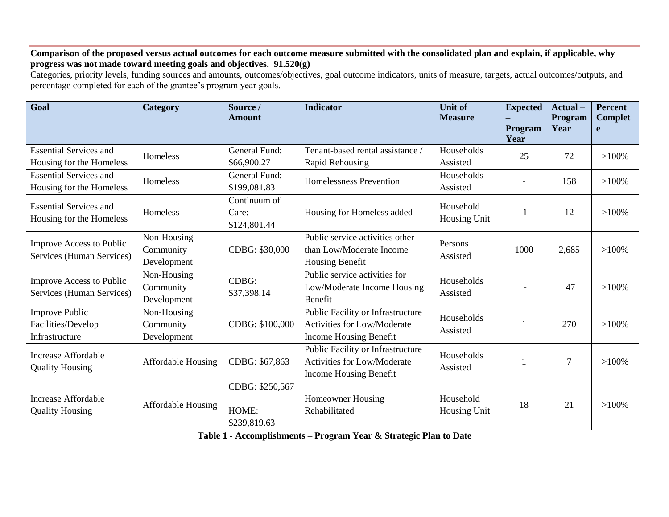#### **Comparison of the proposed versus actual outcomes for each outcome measure submitted with the consolidated plan and explain, if applicable, why progress was not made toward meeting goals and objectives. 91.520(g)**

Categories, priority levels, funding sources and amounts, outcomes/objectives, goal outcome indicators, units of measure, targets, actual outcomes/outputs, and percentage completed for each of the grantee's program year goals.

| Goal                                                          | <b>Category</b>                         | Source /<br><b>Amount</b>                | <b>Indicator</b>                                                                                  | <b>Unit of</b><br><b>Measure</b> | <b>Expected</b><br>Program | Actual-<br>Program<br>Year | <b>Percent</b><br><b>Complet</b><br>e |
|---------------------------------------------------------------|-----------------------------------------|------------------------------------------|---------------------------------------------------------------------------------------------------|----------------------------------|----------------------------|----------------------------|---------------------------------------|
|                                                               |                                         |                                          |                                                                                                   |                                  | Year                       |                            |                                       |
| <b>Essential Services and</b><br>Housing for the Homeless     | Homeless                                | <b>General Fund:</b><br>\$66,900.27      | Tenant-based rental assistance /<br>Rapid Rehousing                                               | Households<br>Assisted           | 25                         | 72                         | $>100\%$                              |
| <b>Essential Services and</b><br>Housing for the Homeless     | Homeless                                | General Fund:<br>\$199,081.83            | <b>Homelessness Prevention</b>                                                                    | Households<br>Assisted           |                            | 158                        | $>100\%$                              |
| <b>Essential Services and</b><br>Housing for the Homeless     | Homeless                                | Continuum of<br>Care:<br>\$124,801.44    | Housing for Homeless added                                                                        | Household<br>Housing Unit        |                            | 12                         | $>100\%$                              |
| Improve Access to Public<br>Services (Human Services)         | Non-Housing<br>Community<br>Development | CDBG: \$30,000                           | Public service activities other<br>than Low/Moderate Income<br><b>Housing Benefit</b>             | Persons<br>Assisted              | 1000                       | 2,685                      | $>100\%$                              |
| Improve Access to Public<br>Services (Human Services)         | Non-Housing<br>Community<br>Development | CDBG:<br>\$37,398.14                     | Public service activities for<br>Low/Moderate Income Housing<br>Benefit                           | Households<br>Assisted           |                            | 47                         | $>100\%$                              |
| <b>Improve Public</b><br>Facilities/Develop<br>Infrastructure | Non-Housing<br>Community<br>Development | CDBG: \$100,000                          | Public Facility or Infrastructure<br><b>Activities for Low/Moderate</b><br>Income Housing Benefit | Households<br>Assisted           |                            | 270                        | $>100\%$                              |
| <b>Increase Affordable</b><br><b>Quality Housing</b>          | <b>Affordable Housing</b>               | CDBG: \$67,863                           | Public Facility or Infrastructure<br><b>Activities for Low/Moderate</b><br>Income Housing Benefit | Households<br>Assisted           |                            | $\overline{7}$             | $>100\%$                              |
| <b>Increase Affordable</b><br><b>Quality Housing</b>          | <b>Affordable Housing</b>               | CDBG: \$250,567<br>HOME:<br>\$239,819.63 | <b>Homeowner Housing</b><br>Rehabilitated                                                         | Household<br>Housing Unit        | 18                         | 21                         | $>100\%$                              |

**Table 1 - Accomplishments – Program Year & Strategic Plan to Date**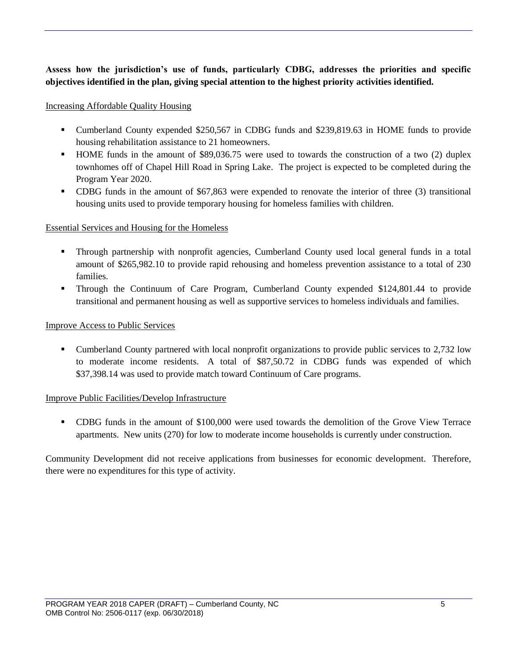#### **Assess how the jurisdiction's use of funds, particularly CDBG, addresses the priorities and specific objectives identified in the plan, giving special attention to the highest priority activities identified.**

#### Increasing Affordable Quality Housing

- Cumberland County expended \$250,567 in CDBG funds and \$239,819.63 in HOME funds to provide housing rehabilitation assistance to 21 homeowners.
- HOME funds in the amount of \$89,036.75 were used to towards the construction of a two (2) duplex townhomes off of Chapel Hill Road in Spring Lake. The project is expected to be completed during the Program Year 2020.
- CDBG funds in the amount of \$67,863 were expended to renovate the interior of three (3) transitional housing units used to provide temporary housing for homeless families with children.

#### Essential Services and Housing for the Homeless

- Through partnership with nonprofit agencies, Cumberland County used local general funds in a total amount of \$265,982.10 to provide rapid rehousing and homeless prevention assistance to a total of 230 families.
- Through the Continuum of Care Program, Cumberland County expended \$124,801.44 to provide transitional and permanent housing as well as supportive services to homeless individuals and families.

#### Improve Access to Public Services

• Cumberland County partnered with local nonprofit organizations to provide public services to 2,732 low to moderate income residents. A total of \$87,50.72 in CDBG funds was expended of which \$37,398.14 was used to provide match toward Continuum of Care programs.

#### Improve Public Facilities/Develop Infrastructure

CDBG funds in the amount of \$100,000 were used towards the demolition of the Grove View Terrace apartments. New units (270) for low to moderate income households is currently under construction.

Community Development did not receive applications from businesses for economic development. Therefore, there were no expenditures for this type of activity.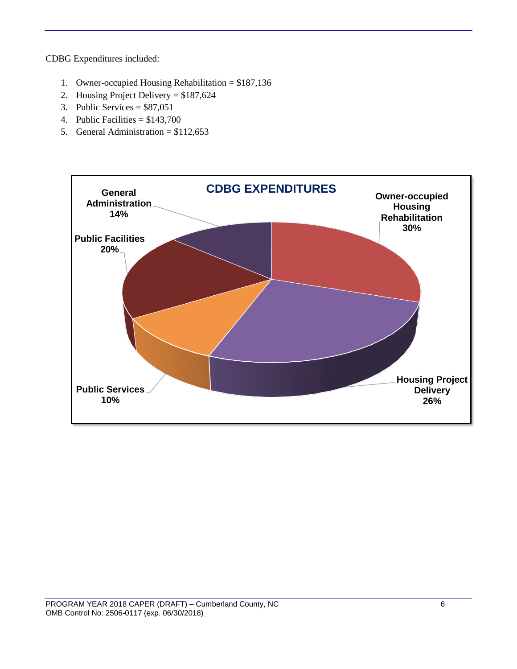CDBG Expenditures included:

- 1. Owner-occupied Housing Rehabilitation = \$187,136
- 2. Housing Project Delivery = \$187,624
- 3. Public Services =  $$87,051$
- 4. Public Facilities  $= $143,700$
- 5. General Administration =  $$112,653$

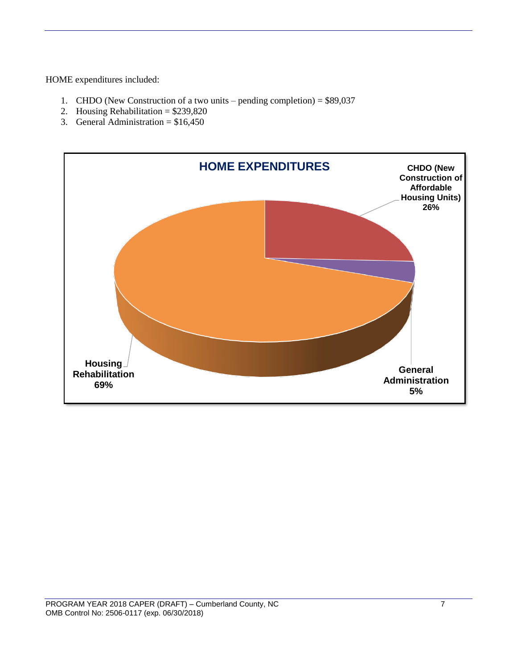HOME expenditures included:

- 1. CHDO (New Construction of a two units pending completion) = \$89,037
- 2. Housing Rehabilitation =  $$239,820$
- 3. General Administration =  $$16,450$

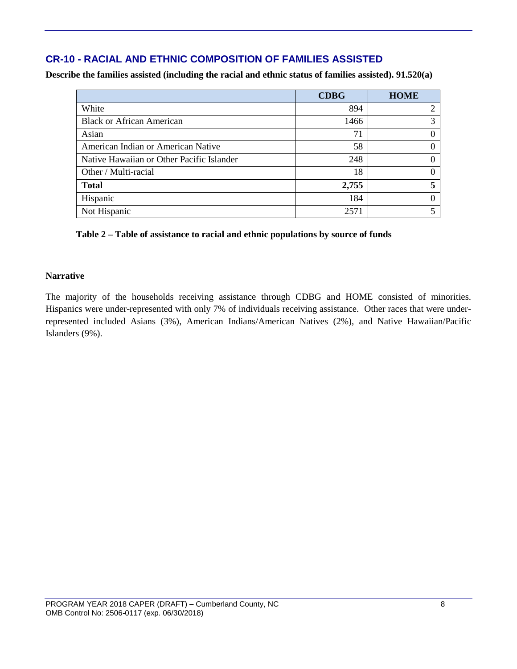## **CR-10 - RACIAL AND ETHNIC COMPOSITION OF FAMILIES ASSISTED**

**Describe the families assisted (including the racial and ethnic status of families assisted). 91.520(a)** 

|                                           | <b>CDBG</b> | <b>HOME</b> |
|-------------------------------------------|-------------|-------------|
| White                                     | 894         | 2           |
| <b>Black or African American</b>          | 1466        | 3           |
| Asian                                     | 71          | 0           |
| American Indian or American Native        | 58          | $\Omega$    |
| Native Hawaiian or Other Pacific Islander | 248         | $\Omega$    |
| Other / Multi-racial                      | 18          | $\Omega$    |
| <b>Total</b>                              | 2,755       | 5           |
| Hispanic                                  | 184         | 0           |
| Not Hispanic                              | 2571        |             |

#### **Table 2 – Table of assistance to racial and ethnic populations by source of funds**

#### **Narrative**

The majority of the households receiving assistance through CDBG and HOME consisted of minorities. Hispanics were under-represented with only 7% of individuals receiving assistance. Other races that were underrepresented included Asians (3%), American Indians/American Natives (2%), and Native Hawaiian/Pacific Islanders (9%).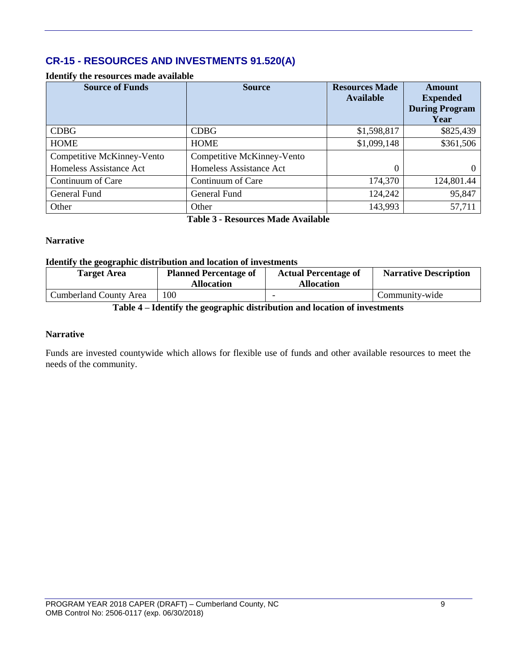## **CR-15 - RESOURCES AND INVESTMENTS 91.520(A)**

#### **Identify the resources made available**

| <b>Source of Funds</b>     | <b>Source</b>              | <b>Resources Made</b><br><b>Available</b> | Amount<br><b>Expended</b><br><b>During Program</b><br>Year |
|----------------------------|----------------------------|-------------------------------------------|------------------------------------------------------------|
| <b>CDBG</b>                | <b>CDBG</b>                | \$1,598,817                               | \$825,439                                                  |
| <b>HOME</b>                | <b>HOME</b>                | \$1,099,148                               | \$361,506                                                  |
| Competitive McKinney-Vento | Competitive McKinney-Vento |                                           |                                                            |
| Homeless Assistance Act    | Homeless Assistance Act    | 0                                         | $\Omega$                                                   |
| Continuum of Care          | Continuum of Care          | 174,370                                   | 124,801.44                                                 |
| General Fund               | General Fund               | 124,242                                   | 95,847                                                     |
| Other                      | Other                      | 143,993                                   | 57,711                                                     |

**Table 3 - Resources Made Available**

#### **Narrative**

#### **Identify the geographic distribution and location of investments**

| <b>Target Area</b>            | <b>Planned Percentage of</b><br><b>Allocation</b> | <b>Actual Percentage of</b><br><b>Allocation</b> | <b>Narrative Description</b> |
|-------------------------------|---------------------------------------------------|--------------------------------------------------|------------------------------|
| <b>Cumberland County Area</b> | 100                                               |                                                  | Community-wide               |

#### **Table 4 – Identify the geographic distribution and location of investments**

#### **Narrative**

Funds are invested countywide which allows for flexible use of funds and other available resources to meet the needs of the community.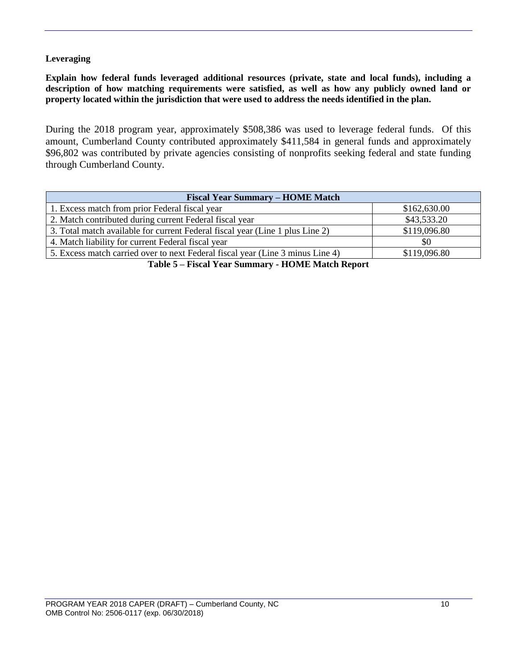#### **Leveraging**

**Explain how federal funds leveraged additional resources (private, state and local funds), including a description of how matching requirements were satisfied, as well as how any publicly owned land or property located within the jurisdiction that were used to address the needs identified in the plan.**

During the 2018 program year, approximately \$508,386 was used to leverage federal funds. Of this amount, Cumberland County contributed approximately \$411,584 in general funds and approximately \$96,802 was contributed by private agencies consisting of nonprofits seeking federal and state funding through Cumberland County.

| <b>Fiscal Year Summary - HOME Match</b>                                        |              |  |  |  |  |
|--------------------------------------------------------------------------------|--------------|--|--|--|--|
| 1. Excess match from prior Federal fiscal year                                 | \$162,630.00 |  |  |  |  |
| 2. Match contributed during current Federal fiscal year                        | \$43,533.20  |  |  |  |  |
| 3. Total match available for current Federal fiscal year (Line 1 plus Line 2)  | \$119,096.80 |  |  |  |  |
| 4. Match liability for current Federal fiscal year                             | \$0          |  |  |  |  |
| 5. Excess match carried over to next Federal fiscal year (Line 3 minus Line 4) | \$119,096.80 |  |  |  |  |

**Table 5 – Fiscal Year Summary - HOME Match Report**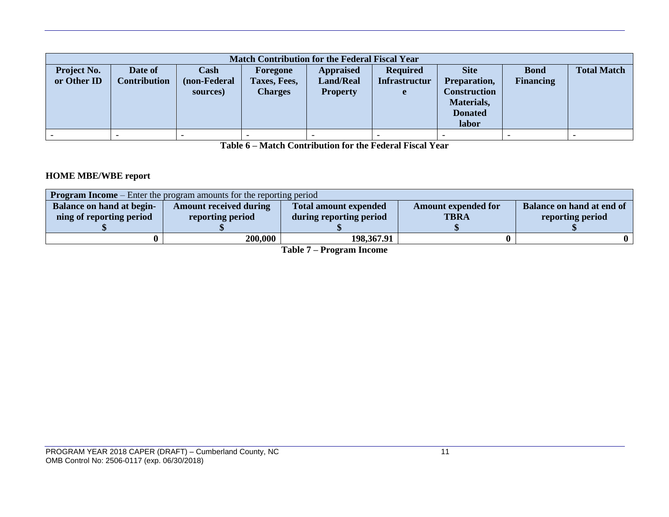| <b>Match Contribution for the Federal Fiscal Year</b> |                     |              |                |                  |                      |                     |                  |                    |  |
|-------------------------------------------------------|---------------------|--------------|----------------|------------------|----------------------|---------------------|------------------|--------------------|--|
| <b>Project No.</b>                                    | Date of             | Cash         | Foregone       | <b>Appraised</b> | <b>Required</b>      | <b>Site</b>         | <b>Bond</b>      | <b>Total Match</b> |  |
| or Other ID                                           | <b>Contribution</b> | (non-Federal | Taxes, Fees,   | <b>Land/Real</b> | <b>Infrastructur</b> | Preparation,        | <b>Financing</b> |                    |  |
|                                                       |                     | sources)     | <b>Charges</b> | <b>Property</b>  | e                    | <b>Construction</b> |                  |                    |  |
|                                                       |                     |              |                |                  |                      | Materials,          |                  |                    |  |
|                                                       |                     |              |                |                  |                      | <b>Donated</b>      |                  |                    |  |
|                                                       |                     |              |                |                  |                      | labor               |                  |                    |  |
|                                                       |                     |              |                |                  |                      |                     |                  |                    |  |

**Table 6 – Match Contribution for the Federal Fiscal Year**

#### **HOME MBE/WBE report**

| <b>Program Income</b> – Enter the program amounts for the reporting period |                               |                              |                            |                           |  |  |  |
|----------------------------------------------------------------------------|-------------------------------|------------------------------|----------------------------|---------------------------|--|--|--|
| <b>Balance on hand at begin-</b>                                           | <b>Amount received during</b> | <b>Total amount expended</b> | <b>Amount expended for</b> | Balance on hand at end of |  |  |  |
| ning of reporting period                                                   | reporting period              | during reporting period      | <b>TBRA</b>                | reporting period          |  |  |  |
|                                                                            |                               |                              |                            |                           |  |  |  |
|                                                                            | 200,000                       | 198,367.91                   |                            |                           |  |  |  |

**Table 7 – Program Income**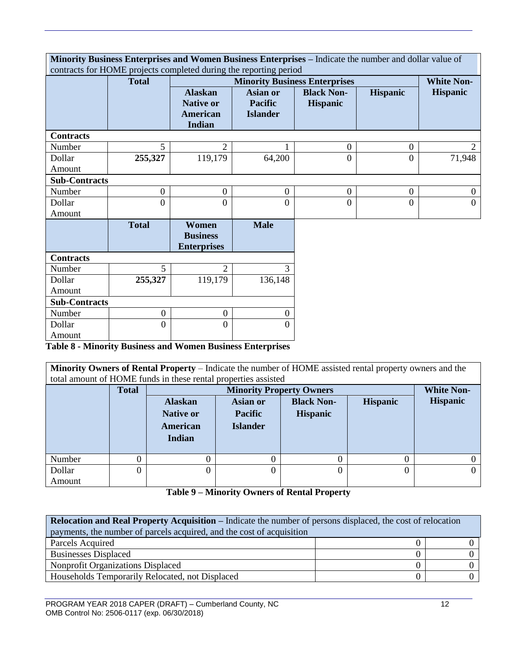| Minority Business Enterprises and Women Business Enterprises – Indicate the number and dollar value of |                  |                                                                 |                                                      |                                      |                 |                   |  |  |
|--------------------------------------------------------------------------------------------------------|------------------|-----------------------------------------------------------------|------------------------------------------------------|--------------------------------------|-----------------|-------------------|--|--|
| contracts for HOME projects completed during the reporting period                                      |                  |                                                                 |                                                      |                                      |                 |                   |  |  |
|                                                                                                        | <b>Total</b>     |                                                                 | <b>Minority Business Enterprises</b>                 |                                      |                 | <b>White Non-</b> |  |  |
|                                                                                                        |                  | <b>Alaskan</b><br><b>Native or</b><br><b>American</b><br>Indian | <b>Asian or</b><br><b>Pacific</b><br><b>Islander</b> | <b>Black Non-</b><br><b>Hispanic</b> | <b>Hispanic</b> | <b>Hispanic</b>   |  |  |
| <b>Contracts</b>                                                                                       |                  |                                                                 |                                                      |                                      |                 |                   |  |  |
| Number                                                                                                 | 5                | $\overline{2}$                                                  |                                                      | $\boldsymbol{0}$                     | $\mathbf{0}$    | $\mathfrak{D}$    |  |  |
| Dollar                                                                                                 | 255,327          | 119,179                                                         | 64,200                                               | $\overline{0}$                       | $\overline{0}$  | 71,948            |  |  |
| Amount                                                                                                 |                  |                                                                 |                                                      |                                      |                 |                   |  |  |
| <b>Sub-Contracts</b>                                                                                   |                  |                                                                 |                                                      |                                      |                 |                   |  |  |
| Number                                                                                                 | $\overline{0}$   | $\boldsymbol{0}$                                                | $\mathbf{0}$                                         | $\overline{0}$                       | $\mathbf{0}$    | $\overline{0}$    |  |  |
| Dollar                                                                                                 | $\Omega$         | $\Omega$                                                        | $\theta$                                             | $\overline{0}$                       | $\theta$        | $\theta$          |  |  |
| Amount                                                                                                 |                  |                                                                 |                                                      |                                      |                 |                   |  |  |
|                                                                                                        | <b>Total</b>     | Women<br><b>Business</b><br><b>Enterprises</b>                  | <b>Male</b>                                          |                                      |                 |                   |  |  |
| <b>Contracts</b>                                                                                       |                  |                                                                 |                                                      |                                      |                 |                   |  |  |
| Number                                                                                                 | 5                | $\overline{2}$                                                  | 3                                                    |                                      |                 |                   |  |  |
| Dollar                                                                                                 | 255,327          | 119,179                                                         | 136,148                                              |                                      |                 |                   |  |  |
| Amount                                                                                                 |                  |                                                                 |                                                      |                                      |                 |                   |  |  |
| <b>Sub-Contracts</b>                                                                                   |                  |                                                                 |                                                      |                                      |                 |                   |  |  |
| Number                                                                                                 | $\boldsymbol{0}$ | $\boldsymbol{0}$                                                | $\theta$                                             |                                      |                 |                   |  |  |
| Dollar                                                                                                 | $\overline{0}$   | $\overline{0}$                                                  | $\Omega$                                             |                                      |                 |                   |  |  |
| Amount                                                                                                 |                  |                                                                 |                                                      |                                      |                 |                   |  |  |

**Table 8 - Minority Business and Women Business Enterprises**

**Minority Owners of Rental Property** – Indicate the number of HOME assisted rental property owners and the total amount of HOME funds in these rental properties assisted

|                  | <b>Total</b> |                                                          | <b>Minority Property Owners</b>                      |                                      |                 |                 |  |
|------------------|--------------|----------------------------------------------------------|------------------------------------------------------|--------------------------------------|-----------------|-----------------|--|
|                  |              | <b>Alaskan</b><br><b>Native or</b><br>American<br>Indian | <b>Asian or</b><br><b>Pacific</b><br><b>Islander</b> | <b>Black Non-</b><br><b>Hispanic</b> | <b>Hispanic</b> | <b>Hispanic</b> |  |
| Number           |              |                                                          |                                                      |                                      |                 |                 |  |
| Dollar<br>Amount | 0            |                                                          |                                                      |                                      | 0               |                 |  |

**Table 9 – Minority Owners of Rental Property**

| <b>Relocation and Real Property Acquisition</b> – Indicate the number of persons displaced, the cost of relocation<br>payments, the number of parcels acquired, and the cost of acquisition |  |  |  |  |
|---------------------------------------------------------------------------------------------------------------------------------------------------------------------------------------------|--|--|--|--|
| Parcels Acquired                                                                                                                                                                            |  |  |  |  |
| <b>Businesses Displaced</b>                                                                                                                                                                 |  |  |  |  |
| <b>Nonprofit Organizations Displaced</b>                                                                                                                                                    |  |  |  |  |
| Households Temporarily Relocated, not Displaced                                                                                                                                             |  |  |  |  |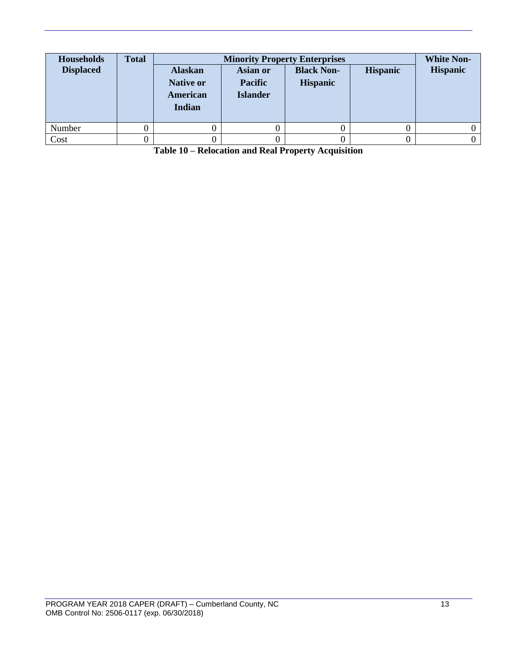| <b>Households</b><br><b>Displaced</b> | <b>Total</b> | <b>Alaskan</b><br><b>Native or</b><br>American<br>Indian | <b>Asian or</b><br><b>Pacific</b><br><b>Islander</b> | <b>Minority Property Enterprises</b><br><b>Black Non-</b><br><b>Hispanic</b> | <b>Hispanic</b> | <b>White Non-</b><br><b>Hispanic</b> |
|---------------------------------------|--------------|----------------------------------------------------------|------------------------------------------------------|------------------------------------------------------------------------------|-----------------|--------------------------------------|
| Number                                |              |                                                          |                                                      |                                                                              |                 |                                      |
| Cost                                  |              |                                                          |                                                      |                                                                              |                 |                                      |

**Table 10 – Relocation and Real Property Acquisition**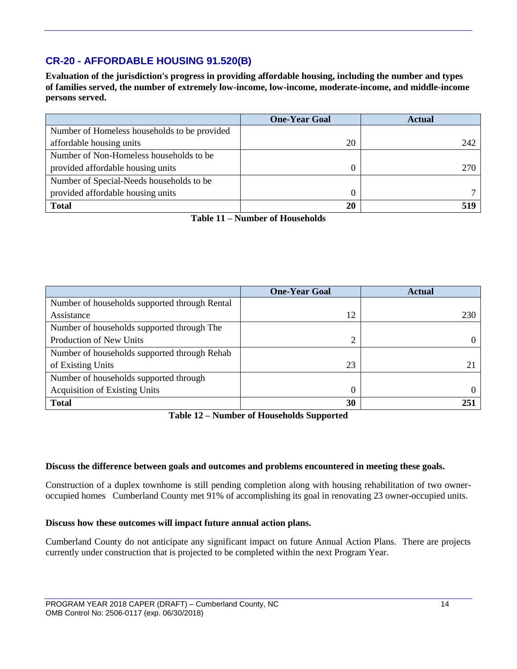## **CR-20 - AFFORDABLE HOUSING 91.520(B)**

**Evaluation of the jurisdiction's progress in providing affordable housing, including the number and types of families served, the number of extremely low-income, low-income, moderate-income, and middle-income persons served.**

|                                              | <b>One-Year Goal</b> | <b>Actual</b> |
|----------------------------------------------|----------------------|---------------|
| Number of Homeless households to be provided |                      |               |
| affordable housing units                     | 20                   | 242           |
| Number of Non-Homeless households to be      |                      |               |
| provided affordable housing units            |                      | 270           |
| Number of Special-Needs households to be     |                      |               |
| provided affordable housing units            |                      |               |
| <b>Total</b>                                 | 20                   | 519           |

**Table 11 – Number of Households**

|                                               | <b>One-Year Goal</b> | <b>Actual</b> |
|-----------------------------------------------|----------------------|---------------|
| Number of households supported through Rental |                      |               |
| Assistance                                    | 12                   | 230           |
| Number of households supported through The    |                      |               |
| Production of New Units                       | $\overline{2}$       |               |
| Number of households supported through Rehab  |                      |               |
| of Existing Units                             | 23                   |               |
| Number of households supported through        |                      |               |
| <b>Acquisition of Existing Units</b>          | 0                    |               |
| <b>Total</b>                                  | 30                   | 251           |

**Table 12 – Number of Households Supported**

#### **Discuss the difference between goals and outcomes and problems encountered in meeting these goals.**

Construction of a duplex townhome is still pending completion along with housing rehabilitation of two owneroccupied homes Cumberland County met 91% of accomplishing its goal in renovating 23 owner-occupied units.

#### **Discuss how these outcomes will impact future annual action plans.**

Cumberland County do not anticipate any significant impact on future Annual Action Plans. There are projects currently under construction that is projected to be completed within the next Program Year.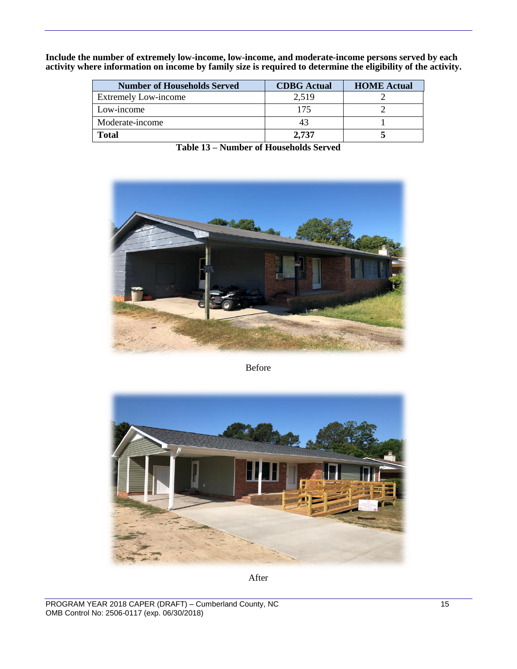**Include the number of extremely low-income, low-income, and moderate-income persons served by each activity where information on income by family size is required to determine the eligibility of the activity.**

| <b>Number of Households Served</b> | <b>CDBG</b> Actual | <b>HOME</b> Actual |
|------------------------------------|--------------------|--------------------|
| <b>Extremely Low-income</b>        | 2,519              |                    |
| Low-income                         | 175                |                    |
| Moderate-income                    |                    |                    |
| Total                              | 2.737              |                    |

|  |  | <b>Table 13 – Number of Households Served</b> |  |
|--|--|-----------------------------------------------|--|
|--|--|-----------------------------------------------|--|



Before



After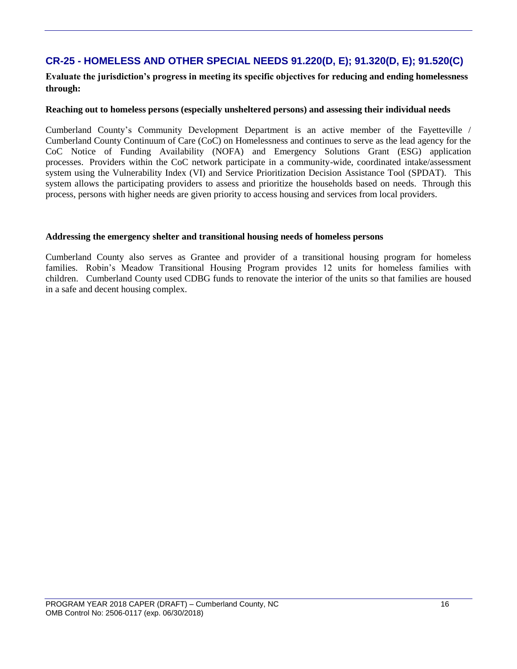## **CR-25 - HOMELESS AND OTHER SPECIAL NEEDS 91.220(D, E); 91.320(D, E); 91.520(C)**

#### **Evaluate the jurisdiction's progress in meeting its specific objectives for reducing and ending homelessness through:**

#### **Reaching out to homeless persons (especially unsheltered persons) and assessing their individual needs**

Cumberland County's Community Development Department is an active member of the Fayetteville / Cumberland County Continuum of Care (CoC) on Homelessness and continues to serve as the lead agency for the CoC Notice of Funding Availability (NOFA) and Emergency Solutions Grant (ESG) application processes. Providers within the CoC network participate in a community-wide, coordinated intake/assessment system using the Vulnerability Index (VI) and Service Prioritization Decision Assistance Tool (SPDAT). This system allows the participating providers to assess and prioritize the households based on needs. Through this process, persons with higher needs are given priority to access housing and services from local providers.

#### **Addressing the emergency shelter and transitional housing needs of homeless persons**

Cumberland County also serves as Grantee and provider of a transitional housing program for homeless families. Robin's Meadow Transitional Housing Program provides 12 units for homeless families with children. Cumberland County used CDBG funds to renovate the interior of the units so that families are housed in a safe and decent housing complex.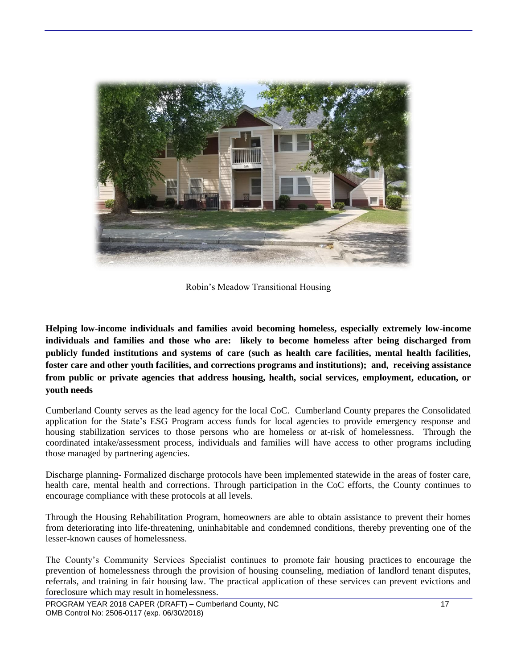

Robin's Meadow Transitional Housing

**Helping low-income individuals and families avoid becoming homeless, especially extremely low-income individuals and families and those who are: likely to become homeless after being discharged from publicly funded institutions and systems of care (such as health care facilities, mental health facilities, foster care and other youth facilities, and corrections programs and institutions); and, receiving assistance from public or private agencies that address housing, health, social services, employment, education, or youth needs**

Cumberland County serves as the lead agency for the local CoC. Cumberland County prepares the Consolidated application for the State's ESG Program access funds for local agencies to provide emergency response and housing stabilization services to those persons who are homeless or at-risk of homelessness. Through the coordinated intake/assessment process, individuals and families will have access to other programs including those managed by partnering agencies.

Discharge planning- Formalized discharge protocols have been implemented statewide in the areas of foster care, health care, mental health and corrections. Through participation in the CoC efforts, the County continues to encourage compliance with these protocols at all levels.

Through the Housing Rehabilitation Program, homeowners are able to obtain assistance to prevent their homes from deteriorating into life-threatening, uninhabitable and condemned conditions, thereby preventing one of the lesser-known causes of homelessness.

The County's Community Services Specialist continues to promote fair housing practices to encourage the prevention of homelessness through the provision of housing counseling, mediation of landlord tenant disputes, referrals, and training in fair housing law. The practical application of these services can prevent evictions and foreclosure which may result in homelessness.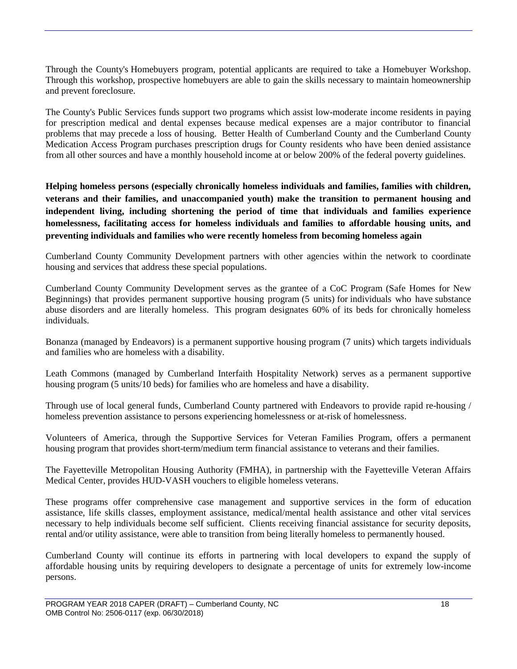Through the County's Homebuyers program, potential applicants are required to take a Homebuyer Workshop. Through this workshop, prospective homebuyers are able to gain the skills necessary to maintain homeownership and prevent foreclosure.

The County's Public Services funds support two programs which assist low-moderate income residents in paying for prescription medical and dental expenses because medical expenses are a major contributor to financial problems that may precede a loss of housing. Better Health of Cumberland County and the Cumberland County Medication Access Program purchases prescription drugs for County residents who have been denied assistance from all other sources and have a monthly household income at or below 200% of the federal poverty guidelines.

**Helping homeless persons (especially chronically homeless individuals and families, families with children, veterans and their families, and unaccompanied youth) make the transition to permanent housing and independent living, including shortening the period of time that individuals and families experience homelessness, facilitating access for homeless individuals and families to affordable housing units, and preventing individuals and families who were recently homeless from becoming homeless again**

Cumberland County Community Development partners with other agencies within the network to coordinate housing and services that address these special populations.

Cumberland County Community Development serves as the grantee of a CoC Program (Safe Homes for New Beginnings) that provides permanent supportive housing program (5 units) for individuals who have substance abuse disorders and are literally homeless. This program designates 60% of its beds for chronically homeless individuals.

Bonanza (managed by Endeavors) is a permanent supportive housing program (7 units) which targets individuals and families who are homeless with a disability.

Leath Commons (managed by Cumberland Interfaith Hospitality Network) serves as a permanent supportive housing program (5 units/10 beds) for families who are homeless and have a disability.

Through use of local general funds, Cumberland County partnered with Endeavors to provide rapid re-housing / homeless prevention assistance to persons experiencing homelessness or at-risk of homelessness.

Volunteers of America, through the Supportive Services for Veteran Families Program, offers a permanent housing program that provides short-term/medium term financial assistance to veterans and their families.

The Fayetteville Metropolitan Housing Authority (FMHA), in partnership with the Fayetteville Veteran Affairs Medical Center, provides HUD-VASH vouchers to eligible homeless veterans.

These programs offer comprehensive case management and supportive services in the form of education assistance, life skills classes, employment assistance, medical/mental health assistance and other vital services necessary to help individuals become self sufficient. Clients receiving financial assistance for security deposits, rental and/or utility assistance, were able to transition from being literally homeless to permanently housed.

Cumberland County will continue its efforts in partnering with local developers to expand the supply of affordable housing units by requiring developers to designate a percentage of units for extremely low-income persons.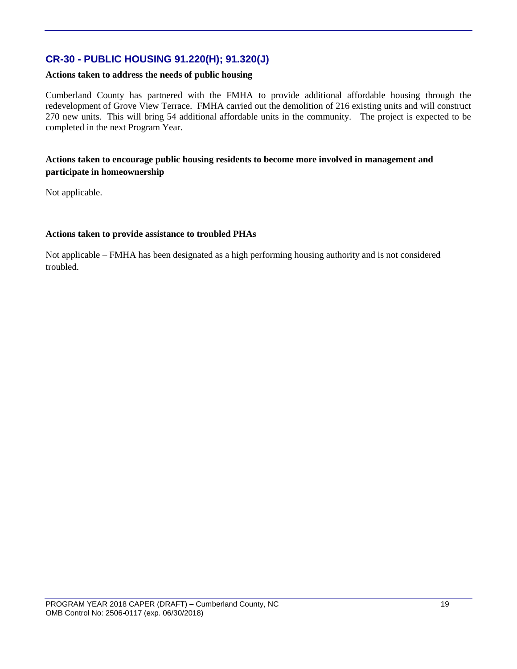## **CR-30 - PUBLIC HOUSING 91.220(H); 91.320(J)**

#### **Actions taken to address the needs of public housing**

Cumberland County has partnered with the FMHA to provide additional affordable housing through the redevelopment of Grove View Terrace. FMHA carried out the demolition of 216 existing units and will construct 270 new units. This will bring 54 additional affordable units in the community. The project is expected to be completed in the next Program Year.

#### **Actions taken to encourage public housing residents to become more involved in management and participate in homeownership**

Not applicable.

#### **Actions taken to provide assistance to troubled PHAs**

Not applicable – FMHA has been designated as a high performing housing authority and is not considered troubled.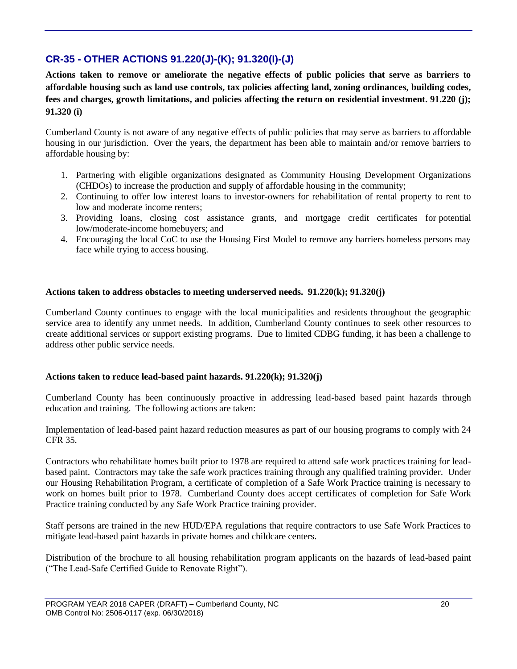## **CR-35 - OTHER ACTIONS 91.220(J)-(K); 91.320(I)-(J)**

**Actions taken to remove or ameliorate the negative effects of public policies that serve as barriers to affordable housing such as land use controls, tax policies affecting land, zoning ordinances, building codes, fees and charges, growth limitations, and policies affecting the return on residential investment. 91.220 (j); 91.320 (i)**

Cumberland County is not aware of any negative effects of public policies that may serve as barriers to affordable housing in our jurisdiction. Over the years, the department has been able to maintain and/or remove barriers to affordable housing by:

- 1. Partnering with eligible organizations designated as Community Housing Development Organizations (CHDOs) to increase the production and supply of affordable housing in the community;
- 2. Continuing to offer low interest loans to investor-owners for rehabilitation of rental property to rent to low and moderate income renters;
- 3. Providing loans, closing cost assistance grants, and mortgage credit certificates for potential low/moderate-income homebuyers; and
- 4. Encouraging the local CoC to use the Housing First Model to remove any barriers homeless persons may face while trying to access housing.

#### **Actions taken to address obstacles to meeting underserved needs. 91.220(k); 91.320(j)**

Cumberland County continues to engage with the local municipalities and residents throughout the geographic service area to identify any unmet needs. In addition, Cumberland County continues to seek other resources to create additional services or support existing programs. Due to limited CDBG funding, it has been a challenge to address other public service needs.

#### **Actions taken to reduce lead-based paint hazards. 91.220(k); 91.320(j)**

Cumberland County has been continuously proactive in addressing lead-based based paint hazards through education and training. The following actions are taken:

Implementation of lead-based paint hazard reduction measures as part of our housing programs to comply with 24 CFR 35.

Contractors who rehabilitate homes built prior to 1978 are required to attend safe work practices training for leadbased paint. Contractors may take the safe work practices training through any qualified training provider. Under our Housing Rehabilitation Program, a certificate of completion of a Safe Work Practice training is necessary to work on homes built prior to 1978. Cumberland County does accept certificates of completion for Safe Work Practice training conducted by any Safe Work Practice training provider.

Staff persons are trained in the new HUD/EPA regulations that require contractors to use Safe Work Practices to mitigate lead-based paint hazards in private homes and childcare centers.

Distribution of the brochure to all housing rehabilitation program applicants on the hazards of lead-based paint ("The Lead-Safe Certified Guide to Renovate Right").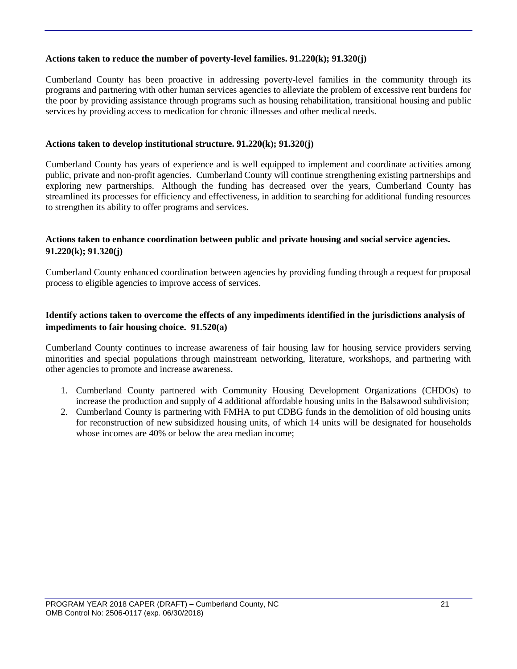#### **Actions taken to reduce the number of poverty-level families. 91.220(k); 91.320(j)**

Cumberland County has been proactive in addressing poverty-level families in the community through its programs and partnering with other human services agencies to alleviate the problem of excessive rent burdens for the poor by providing assistance through programs such as housing rehabilitation, transitional housing and public services by providing access to medication for chronic illnesses and other medical needs.

#### **Actions taken to develop institutional structure. 91.220(k); 91.320(j)**

Cumberland County has years of experience and is well equipped to implement and coordinate activities among public, private and non-profit agencies. Cumberland County will continue strengthening existing partnerships and exploring new partnerships. Although the funding has decreased over the years, Cumberland County has streamlined its processes for efficiency and effectiveness, in addition to searching for additional funding resources to strengthen its ability to offer programs and services.

#### **Actions taken to enhance coordination between public and private housing and social service agencies. 91.220(k); 91.320(j)**

Cumberland County enhanced coordination between agencies by providing funding through a request for proposal process to eligible agencies to improve access of services.

#### **Identify actions taken to overcome the effects of any impediments identified in the jurisdictions analysis of impediments to fair housing choice. 91.520(a)**

Cumberland County continues to increase awareness of fair housing law for housing service providers serving minorities and special populations through mainstream networking, literature, workshops, and partnering with other agencies to promote and increase awareness.

- 1. Cumberland County partnered with Community Housing Development Organizations (CHDOs) to increase the production and supply of 4 additional affordable housing units in the Balsawood subdivision;
- 2. Cumberland County is partnering with FMHA to put CDBG funds in the demolition of old housing units for reconstruction of new subsidized housing units, of which 14 units will be designated for households whose incomes are 40% or below the area median income;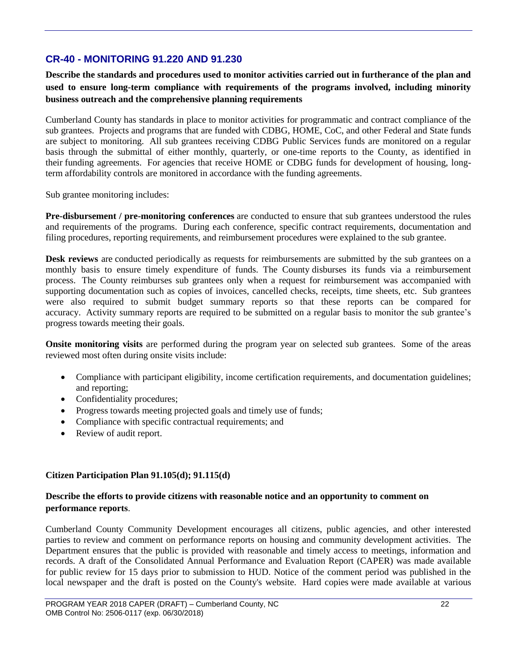## **CR-40 - MONITORING 91.220 AND 91.230**

**Describe the standards and procedures used to monitor activities carried out in furtherance of the plan and used to ensure long-term compliance with requirements of the programs involved, including minority business outreach and the comprehensive planning requirements**

Cumberland County has standards in place to monitor activities for programmatic and contract compliance of the sub grantees. Projects and programs that are funded with CDBG, HOME, CoC, and other Federal and State funds are subject to monitoring. All sub grantees receiving CDBG Public Services funds are monitored on a regular basis through the submittal of either monthly, quarterly, or one-time reports to the County, as identified in their funding agreements. For agencies that receive HOME or CDBG funds for development of housing, longterm affordability controls are monitored in accordance with the funding agreements.

Sub grantee monitoring includes:

**Pre-disbursement / pre-monitoring conferences** are conducted to ensure that sub grantees understood the rules and requirements of the programs. During each conference, specific contract requirements, documentation and filing procedures, reporting requirements, and reimbursement procedures were explained to the sub grantee.

**Desk reviews** are conducted periodically as requests for reimbursements are submitted by the sub grantees on a monthly basis to ensure timely expenditure of funds. The County disburses its funds via a reimbursement process. The County reimburses sub grantees only when a request for reimbursement was accompanied with supporting documentation such as copies of invoices, cancelled checks, receipts, time sheets, etc. Sub grantees were also required to submit budget summary reports so that these reports can be compared for accuracy. Activity summary reports are required to be submitted on a regular basis to monitor the sub grantee's progress towards meeting their goals.

**Onsite monitoring visits** are performed during the program year on selected sub grantees. Some of the areas reviewed most often during onsite visits include:

- Compliance with participant eligibility, income certification requirements, and documentation guidelines; and reporting;
- Confidentiality procedures;
- Progress towards meeting projected goals and timely use of funds;
- Compliance with specific contractual requirements; and
- Review of audit report.

#### **Citizen Participation Plan 91.105(d); 91.115(d)**

#### **Describe the efforts to provide citizens with reasonable notice and an opportunity to comment on performance reports**.

Cumberland County Community Development encourages all citizens, public agencies, and other interested parties to review and comment on performance reports on housing and community development activities. The Department ensures that the public is provided with reasonable and timely access to meetings, information and records. A draft of the Consolidated Annual Performance and Evaluation Report (CAPER) was made available for public review for 15 days prior to submission to HUD. Notice of the comment period was published in the local newspaper and the draft is posted on the County's website. Hard copies were made available at various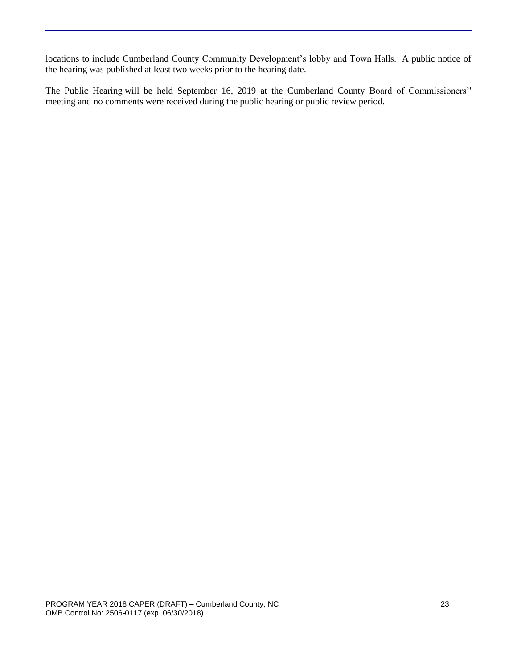locations to include Cumberland County Community Development's lobby and Town Halls. A public notice of the hearing was published at least two weeks prior to the hearing date.

The Public Hearing will be held September 16, 2019 at the Cumberland County Board of Commissioners'' meeting and no comments were received during the public hearing or public review period.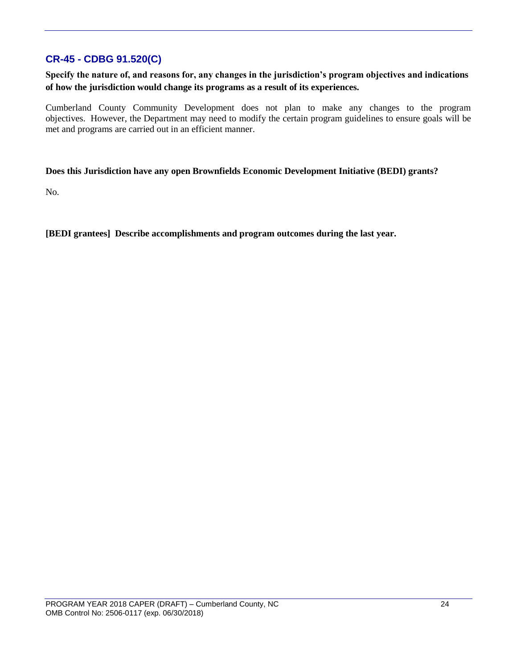## **CR-45 - CDBG 91.520(C)**

**Specify the nature of, and reasons for, any changes in the jurisdiction's program objectives and indications of how the jurisdiction would change its programs as a result of its experiences.**

Cumberland County Community Development does not plan to make any changes to the program objectives. However, the Department may need to modify the certain program guidelines to ensure goals will be met and programs are carried out in an efficient manner.

#### **Does this Jurisdiction have any open Brownfields Economic Development Initiative (BEDI) grants?**

No.

**[BEDI grantees] Describe accomplishments and program outcomes during the last year.**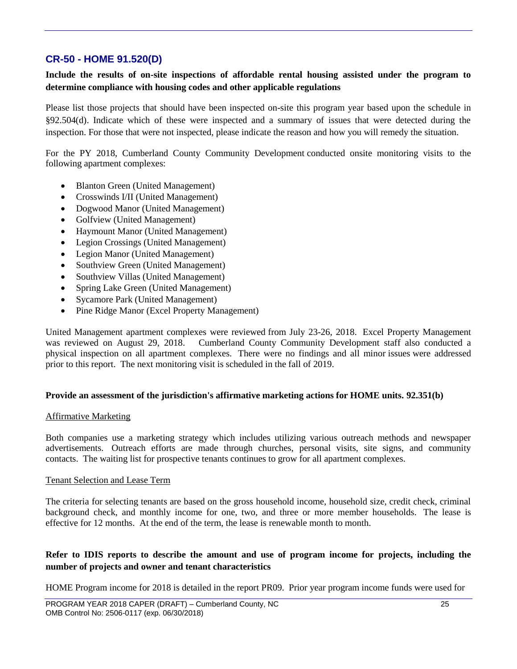### **CR-50 - HOME 91.520(D)**

#### **Include the results of on-site inspections of affordable rental housing assisted under the program to determine compliance with housing codes and other applicable regulations**

Please list those projects that should have been inspected on-site this program year based upon the schedule in §92.504(d). Indicate which of these were inspected and a summary of issues that were detected during the inspection. For those that were not inspected, please indicate the reason and how you will remedy the situation.

For the PY 2018, Cumberland County Community Development conducted onsite monitoring visits to the following apartment complexes:

- Blanton Green (United Management)
- Crosswinds I/II (United Management)
- Dogwood Manor (United Management)
- Golfview (United Management)
- Haymount Manor (United Management)
- Legion Crossings (United Management)
- Legion Manor (United Management)
- Southview Green (United Management)
- Southview Villas (United Management)
- Spring Lake Green (United Management)
- Sycamore Park (United Management)
- Pine Ridge Manor (Excel Property Management)

United Management apartment complexes were reviewed from July 23-26, 2018. Excel Property Management was reviewed on August 29, 2018. Cumberland County Community Development staff also conducted a physical inspection on all apartment complexes. There were no findings and all minor issues were addressed prior to this report. The next monitoring visit is scheduled in the fall of 2019.

#### **Provide an assessment of the jurisdiction's affirmative marketing actions for HOME units. 92.351(b)**

#### Affirmative Marketing

Both companies use a marketing strategy which includes utilizing various outreach methods and newspaper advertisements. Outreach efforts are made through churches, personal visits, site signs, and community contacts. The waiting list for prospective tenants continues to grow for all apartment complexes.

#### Tenant Selection and Lease Term

The criteria for selecting tenants are based on the gross household income, household size, credit check, criminal background check, and monthly income for one, two, and three or more member households. The lease is effective for 12 months. At the end of the term, the lease is renewable month to month.

#### **Refer to IDIS reports to describe the amount and use of program income for projects, including the number of projects and owner and tenant characteristics**

HOME Program income for 2018 is detailed in the report PR09. Prior year program income funds were used for